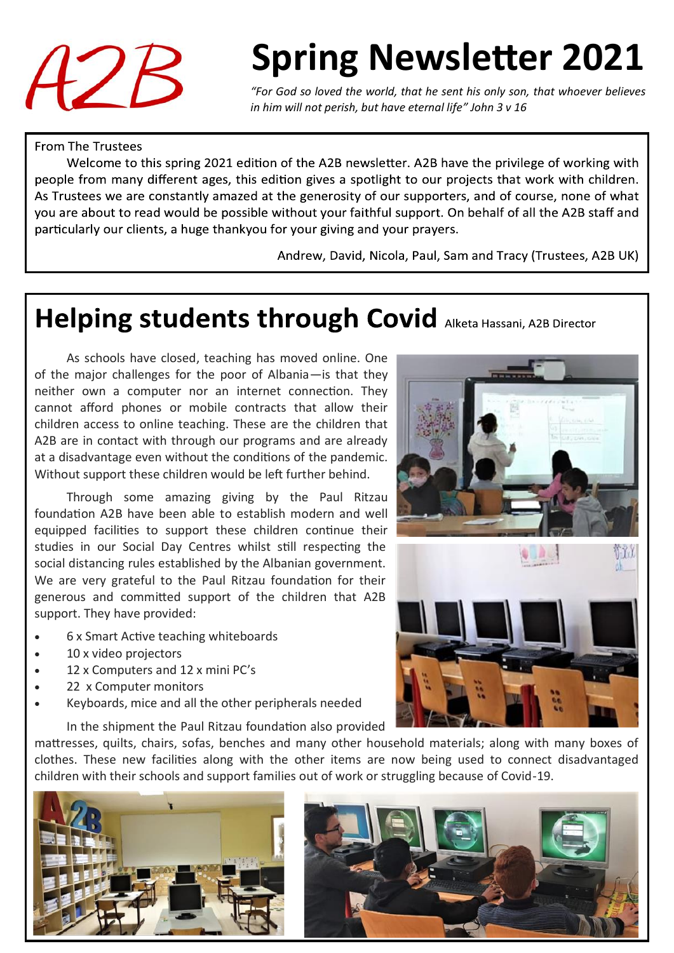

# **Spring Newsletter 2021**

*"For God so loved the world, that he sent his only son, that whoever believes in him will not perish, but have eternal life" John 3 v 16* 

#### **From The Trustees**

Welcome to this spring 2021 edition of the A2B newsletter. A2B have the privilege of working with people from many different ages, this edition gives a spotlight to our projects that work with children. As Trustees we are constantly amazed at the generosity of our supporters, and of course, none of what you are about to read would be possible without your faithful support. On behalf of all the A2B staff and particularly our clients, a huge thankyou for your giving and your prayers.

Andrew, David, Nicola, Paul, Sam and Tracy (Trustees, A2B UK)

#### Helping students through Covid Alketa Hassani, A2B Director

As schools have closed, teaching has moved online. One of the major challenges for the poor of Albania—is that they neither own a computer nor an internet connection. They cannot afford phones or mobile contracts that allow their children access to online teaching. These are the children that A2B are in contact with through our programs and are already at a disadvantage even without the conditions of the pandemic. Without support these children would be left further behind.

Through some amazing giving by the Paul Ritzau foundation A2B have been able to establish modern and well equipped facilities to support these children continue their studies in our Social Day Centres whilst still respecting the social distancing rules established by the Albanian government. We are very grateful to the Paul Ritzau foundation for their generous and committed support of the children that A2B support. They have provided:

- 6 x Smart Active teaching whiteboards
- 10 x video projectors
- 12 x Computers and 12 x mini PC's
- 22 x Computer monitors
- Keyboards, mice and all the other peripherals needed

In the shipment the Paul Ritzau foundation also provided

mattresses, quilts, chairs, sofas, benches and many other household materials; along with many boxes of clothes. These new facilities along with the other items are now being used to connect disadvantaged children with their schools and support families out of work or struggling because of Covid-19.



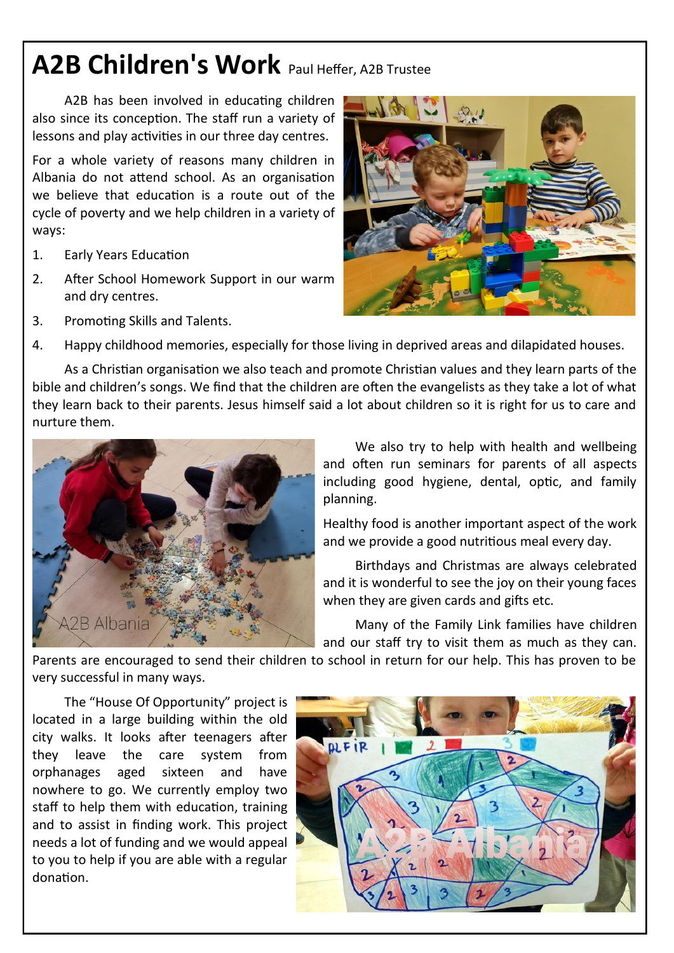## **A2B Children's Work** Paul Heffer, A2B Trustee

A2B has been involved in educating children also since its conception. The staff run a variety of lessons and play activities in our three day centres.

For a whole variety of reasons many children in Albania do not attend school. As an organisation we believe that education is a route out of the cycle of poverty and we help children in a variety of ways:

- 1. Early Years Education
- 2. After School Homework Support in our warm and dry centres.
- 3. Promoting Skills and Talents.



4. Happy childhood memories, especially for those living in deprived areas and dilapidated houses.

As a Christian organisation we also teach and promote Christian values and they learn parts of the bible and children's songs. We find that the children are often the evangelists as they take a lot of what they learn back to their parents. Jesus himself said a lot about children so it is right for us to care and nurture them.



We also try to help with health and wellbeing and often run seminars for parents of all aspects including good hygiene, dental, optic, and family planning.

Healthy food is another important aspect of the work and we provide a good nutritious meal every day.

Birthdays and Christmas are always celebrated and it is wonderful to see the joy on their young faces when they are given cards and gifts etc.

Many of the Family Link families have children and our staff try to visit them as much as they can.

Parents are encouraged to send their children to school in return for our help. This has proven to be very successful in many ways.

The "House Of Opportunity" project is located in a large building within the old city walks. It looks after teenagers after they leave the care system from orphanages aged sixteen and have nowhere to go. We currently employ two staff to help them with education, training and to assist in finding work. This project needs a lot of funding and we would appeal to you to help if you are able with a regular donation.

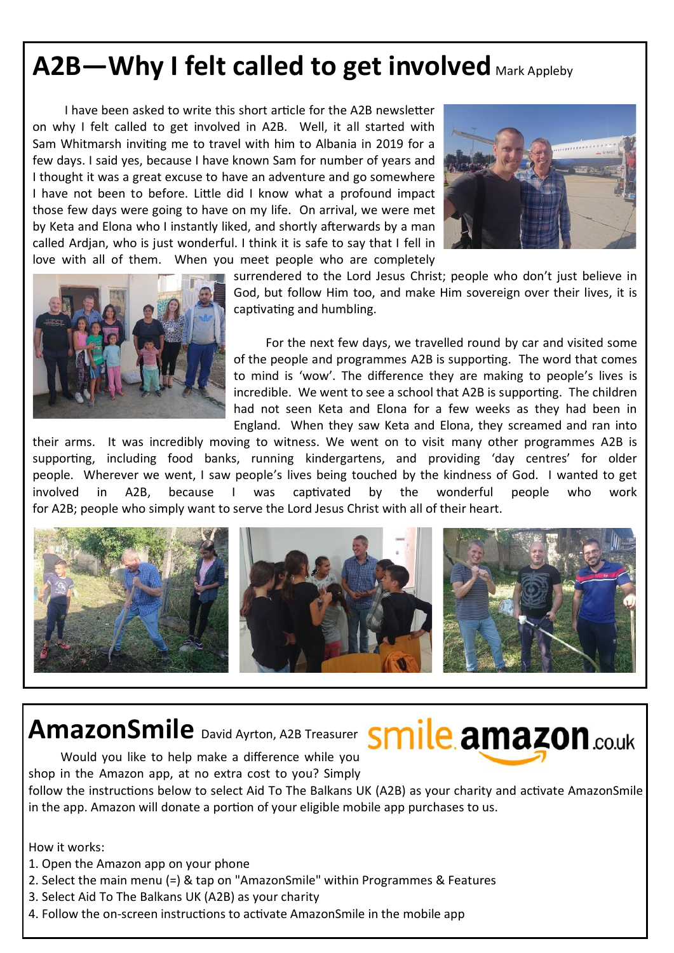### A2B—Why I felt called to get involved Mark Appleby

I have been asked to write this short article for the A2B newsletter on why I felt called to get involved in A2B. Well, it all started with Sam Whitmarsh inviting me to travel with him to Albania in 2019 for a few days. I said yes, because I have known Sam for number of years and I thought it was a great excuse to have an adventure and go somewhere I have not been to before. Little did I know what a profound impact those few days were going to have on my life. On arrival, we were met by Keta and Elona who I instantly liked, and shortly afterwards by a man called Ardjan, who is just wonderful. I think it is safe to say that I fell in love with all of them. When you meet people who are completely





surrendered to the Lord Jesus Christ; people who don't just believe in God, but follow Him too, and make Him sovereign over their lives, it is captivating and humbling.

For the next few days, we travelled round by car and visited some of the people and programmes A2B is supporting. The word that comes to mind is 'wow'. The difference they are making to people's lives is incredible. We went to see a school that A2B is supporting. The children had not seen Keta and Elona for a few weeks as they had been in England. When they saw Keta and Elona, they screamed and ran into

their arms. It was incredibly moving to witness. We went on to visit many other programmes A2B is supporting, including food banks, running kindergartens, and providing 'day centres' for older people. Wherever we went, I saw people's lives being touched by the kindness of God. I wanted to get involved in A2B, because I was captivated by the wonderful people who work for A2B; people who simply want to serve the Lord Jesus Christ with all of their heart.





Would you like to help make a difference while you shop in the Amazon app, at no extra cost to you? Simply

follow the instructions below to select Aid To The Balkans UK (A2B) as your charity and activate AmazonSmile in the app. Amazon will donate a portion of your eligible mobile app purchases to us.

How it works:

- 1. Open the Amazon app on your phone
- 2. Select the main menu (=) & tap on "AmazonSmile" within Programmes & Features
- 3. Select Aid To The Balkans UK (A2B) as your charity
- 4. Follow the on-screen instructions to activate AmazonSmile in the mobile app